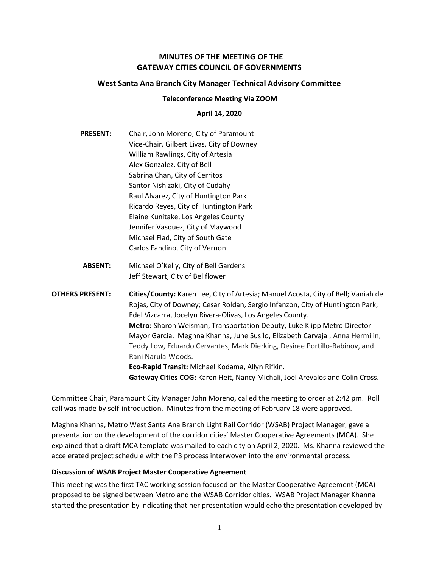# MINUTES OF THE MEETING OF THE GATEWAY CITIES COUNCIL OF GOVERNMENTS

## West Santa Ana Branch City Manager Technical Advisory Committee

#### Teleconference Meeting Via ZOOM

### April 14, 2020

- PRESENT: Chair, John Moreno, City of Paramount Vice-Chair, Gilbert Livas, City of Downey William Rawlings, City of Artesia Alex Gonzalez, City of Bell Sabrina Chan, City of Cerritos Santor Nishizaki, City of Cudahy Raul Alvarez, City of Huntington Park Ricardo Reyes, City of Huntington Park Elaine Kunitake, Los Angeles County Jennifer Vasquez, City of Maywood Michael Flad, City of South Gate Carlos Fandino, City of Vernon
	- ABSENT: Michael O'Kelly, City of Bell Gardens Jeff Stewart, City of Bellflower

OTHERS PRESENT: Cities/County: Karen Lee, City of Artesia; Manuel Acosta, City of Bell; Vaniah de Rojas, City of Downey; Cesar Roldan, Sergio Infanzon, City of Huntington Park; Edel Vizcarra, Jocelyn Rivera-Olivas, Los Angeles County. Metro: Sharon Weisman, Transportation Deputy, Luke Klipp Metro Director Mayor Garcia. Meghna Khanna, June Susilo, Elizabeth Carvajal, Anna Hermilin, Teddy Low, Eduardo Cervantes, Mark Dierking, Desiree Portillo-Rabinov, and Rani Narula-Woods. Eco-Rapid Transit: Michael Kodama, Allyn Rifkin. Gateway Cities COG: Karen Heit, Nancy Michali, Joel Arevalos and Colin Cross.

Committee Chair, Paramount City Manager John Moreno, called the meeting to order at 2:42 pm. Roll call was made by self-introduction. Minutes from the meeting of February 18 were approved.

Meghna Khanna, Metro West Santa Ana Branch Light Rail Corridor (WSAB) Project Manager, gave a presentation on the development of the corridor cities' Master Cooperative Agreements (MCA). She explained that a draft MCA template was mailed to each city on April 2, 2020. Ms. Khanna reviewed the accelerated project schedule with the P3 process interwoven into the environmental process.

### Discussion of WSAB Project Master Cooperative Agreement

This meeting was the first TAC working session focused on the Master Cooperative Agreement (MCA) proposed to be signed between Metro and the WSAB Corridor cities. WSAB Project Manager Khanna started the presentation by indicating that her presentation would echo the presentation developed by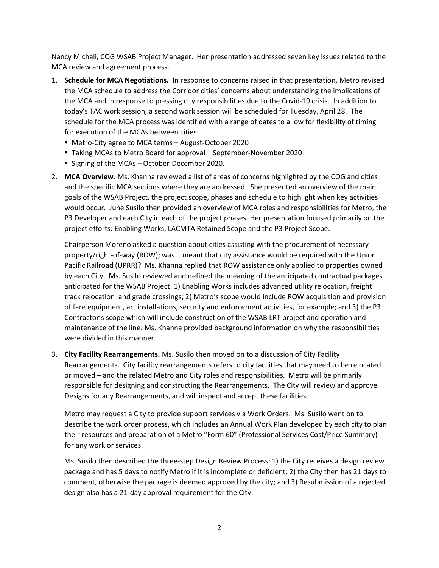Nancy Michali, COG WSAB Project Manager. Her presentation addressed seven key issues related to the MCA review and agreement process.

- 1. Schedule for MCA Negotiations. In response to concerns raised in that presentation, Metro revised the MCA schedule to address the Corridor cities' concerns about understanding the implications of the MCA and in response to pressing city responsibilities due to the Covid-19 crisis. In addition to today's TAC work session, a second work session will be scheduled for Tuesday, April 28. The schedule for the MCA process was identified with a range of dates to allow for flexibility of timing for execution of the MCAs between cities:
	- Metro-City agree to MCA terms August-October 2020
	- Taking MCAs to Metro Board for approval September-November 2020
	- Signing of the MCAs October-December 2020.
- 2. MCA Overview. Ms. Khanna reviewed a list of areas of concerns highlighted by the COG and cities and the specific MCA sections where they are addressed. She presented an overview of the main goals of the WSAB Project, the project scope, phases and schedule to highlight when key activities would occur. June Susilo then provided an overview of MCA roles and responsibilities for Metro, the P3 Developer and each City in each of the project phases. Her presentation focused primarily on the project efforts: Enabling Works, LACMTA Retained Scope and the P3 Project Scope.

Chairperson Moreno asked a question about cities assisting with the procurement of necessary property/right-of-way (ROW); was it meant that city assistance would be required with the Union Pacific Railroad (UPRR)? Ms. Khanna replied that ROW assistance only applied to properties owned by each City. Ms. Susilo reviewed and defined the meaning of the anticipated contractual packages anticipated for the WSAB Project: 1) Enabling Works includes advanced utility relocation, freight track relocation and grade crossings; 2) Metro's scope would include ROW acquisition and provision of fare equipment, art installations, security and enforcement activities, for example; and 3) the P3 Contractor's scope which will include construction of the WSAB LRT project and operation and maintenance of the line. Ms. Khanna provided background information on why the responsibilities were divided in this manner.

3. City Facility Rearrangements. Ms. Susilo then moved on to a discussion of City Facility Rearrangements. City facility rearrangements refers to city facilities that may need to be relocated or moved – and the related Metro and City roles and responsibilities. Metro will be primarily responsible for designing and constructing the Rearrangements. The City will review and approve Designs for any Rearrangements, and will inspect and accept these facilities.

Metro may request a City to provide support services via Work Orders. Ms. Susilo went on to describe the work order process, which includes an Annual Work Plan developed by each city to plan their resources and preparation of a Metro "Form 60" (Professional Services Cost/Price Summary) for any work or services.

Ms. Susilo then described the three-step Design Review Process: 1) the City receives a design review package and has 5 days to notify Metro if it is incomplete or deficient; 2) the City then has 21 days to comment, otherwise the package is deemed approved by the city; and 3) Resubmission of a rejected design also has a 21-day approval requirement for the City.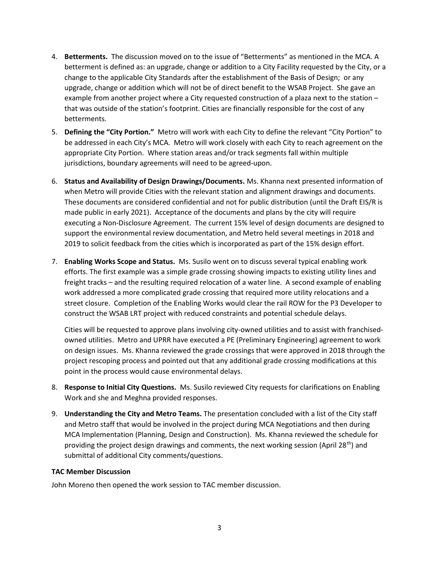- 4. Betterments. The discussion moved on to the issue of "Betterments" as mentioned in the MCA. A betterment is defined as: an upgrade, change or addition to a City Facility requested by the City, or a change to the applicable City Standards after the establishment of the Basis of Design; or any upgrade, change or addition which will not be of direct benefit to the WSAB Project. She gave an example from another project where a City requested construction of a plaza next to the station – that was outside of the station's footprint. Cities are financially responsible for the cost of any betterments.
- 5. Defining the "City Portion." Metro will work with each City to define the relevant "City Portion" to be addressed in each City's MCA. Metro will work closely with each City to reach agreement on the appropriate City Portion. Where station areas and/or track segments fall within multiple jurisdictions, boundary agreements will need to be agreed-upon.
- 6. Status and Availability of Design Drawings/Documents. Ms. Khanna next presented information of when Metro will provide Cities with the relevant station and alignment drawings and documents. These documents are considered confidential and not for public distribution (until the Draft EIS/R is made public in early 2021). Acceptance of the documents and plans by the city will require executing a Non-Disclosure Agreement. The current 15% level of design documents are designed to support the environmental review documentation, and Metro held several meetings in 2018 and 2019 to solicit feedback from the cities which is incorporated as part of the 15% design effort.
- 7. Enabling Works Scope and Status. Ms. Susilo went on to discuss several typical enabling work efforts. The first example was a simple grade crossing showing impacts to existing utility lines and freight tracks – and the resulting required relocation of a water line. A second example of enabling work addressed a more complicated grade crossing that required more utility relocations and a street closure. Completion of the Enabling Works would clear the rail ROW for the P3 Developer to construct the WSAB LRT project with reduced constraints and potential schedule delays.

Cities will be requested to approve plans involving city-owned utilities and to assist with franchisedowned utilities. Metro and UPRR have executed a PE (Preliminary Engineering) agreement to work on design issues. Ms. Khanna reviewed the grade crossings that were approved in 2018 through the project rescoping process and pointed out that any additional grade crossing modifications at this point in the process would cause environmental delays.

- 8. Response to Initial City Questions. Ms. Susilo reviewed City requests for clarifications on Enabling Work and she and Meghna provided responses.
- 9. Understanding the City and Metro Teams. The presentation concluded with a list of the City staff and Metro staff that would be involved in the project during MCA Negotiations and then during MCA Implementation (Planning, Design and Construction). Ms. Khanna reviewed the schedule for providing the project design drawings and comments, the next working session (April 28<sup>th</sup>) and submittal of additional City comments/questions.

### TAC Member Discussion

John Moreno then opened the work session to TAC member discussion.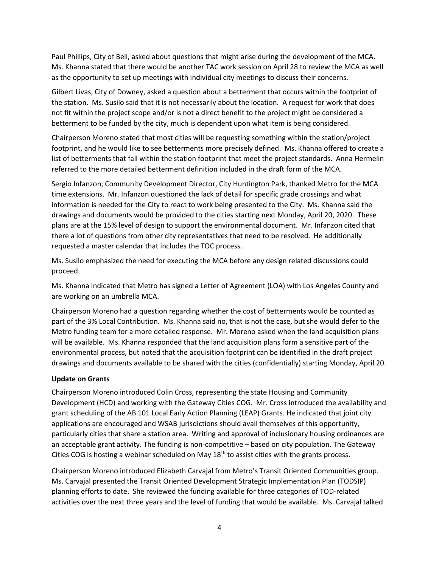Paul Phillips, City of Bell, asked about questions that might arise during the development of the MCA. Ms. Khanna stated that there would be another TAC work session on April 28 to review the MCA as well as the opportunity to set up meetings with individual city meetings to discuss their concerns.

Gilbert Livas, City of Downey, asked a question about a betterment that occurs within the footprint of the station. Ms. Susilo said that it is not necessarily about the location. A request for work that does not fit within the project scope and/or is not a direct benefit to the project might be considered a betterment to be funded by the city, much is dependent upon what item is being considered.

Chairperson Moreno stated that most cities will be requesting something within the station/project footprint, and he would like to see betterments more precisely defined. Ms. Khanna offered to create a list of betterments that fall within the station footprint that meet the project standards. Anna Hermelin referred to the more detailed betterment definition included in the draft form of the MCA.

Sergio Infanzon, Community Development Director, City Huntington Park, thanked Metro for the MCA time extensions. Mr. Infanzon questioned the lack of detail for specific grade crossings and what information is needed for the City to react to work being presented to the City. Ms. Khanna said the drawings and documents would be provided to the cities starting next Monday, April 20, 2020. These plans are at the 15% level of design to support the environmental document. Mr. Infanzon cited that there a lot of questions from other city representatives that need to be resolved. He additionally requested a master calendar that includes the TOC process.

Ms. Susilo emphasized the need for executing the MCA before any design related discussions could proceed.

Ms. Khanna indicated that Metro has signed a Letter of Agreement (LOA) with Los Angeles County and are working on an umbrella MCA.

Chairperson Moreno had a question regarding whether the cost of betterments would be counted as part of the 3% Local Contribution. Ms. Khanna said no, that is not the case, but she would defer to the Metro funding team for a more detailed response. Mr. Moreno asked when the land acquisition plans will be available. Ms. Khanna responded that the land acquisition plans form a sensitive part of the environmental process, but noted that the acquisition footprint can be identified in the draft project drawings and documents available to be shared with the cities (confidentially) starting Monday, April 20.

### Update on Grants

Chairperson Moreno introduced Colin Cross, representing the state Housing and Community Development (HCD) and working with the Gateway Cities COG. Mr. Cross introduced the availability and grant scheduling of the AB 101 Local Early Action Planning (LEAP) Grants. He indicated that joint city applications are encouraged and WSAB jurisdictions should avail themselves of this opportunity, particularly cities that share a station area. Writing and approval of inclusionary housing ordinances are an acceptable grant activity. The funding is non-competitive – based on city population. The Gateway Cities COG is hosting a webinar scheduled on May  $18<sup>th</sup>$  to assist cities with the grants process.

Chairperson Moreno introduced Elizabeth Carvajal from Metro's Transit Oriented Communities group. Ms. Carvajal presented the Transit Oriented Development Strategic Implementation Plan (TODSIP) planning efforts to date. She reviewed the funding available for three categories of TOD-related activities over the next three years and the level of funding that would be available. Ms. Carvajal talked